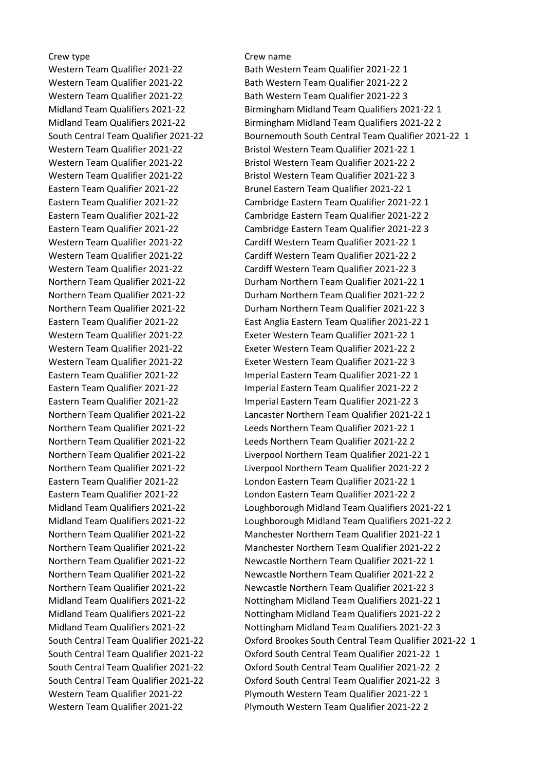## Crew type Crew name

Western Team Qualifier 2021-22 Plymouth Western Team Qualifier 2021-22 2

Western Team Qualifier 2021-22 Bath Western Team Qualifier 2021-22 1 Western Team Qualifier 2021-22 Bath Western Team Qualifier 2021-22 2 Western Team Qualifier 2021-22 Bath Western Team Qualifier 2021-22 3 Midland Team Qualifiers 2021-22 Birmingham Midland Team Qualifiers 2021-22 1 Midland Team Qualifiers 2021-22 Birmingham Midland Team Qualifiers 2021-22 2 South Central Team Qualifier 2021-22 Bournemouth South Central Team Qualifier 2021-22 1 Western Team Qualifier 2021-22 Bristol Western Team Qualifier 2021-22 1 Western Team Qualifier 2021-22 Bristol Western Team Qualifier 2021-22 2 Western Team Qualifier 2021-22 Bristol Western Team Qualifier 2021-22 3 Eastern Team Qualifier 2021-22 Brunel Eastern Team Qualifier 2021-22 1 Eastern Team Qualifier 2021-22 Cambridge Eastern Team Qualifier 2021-22 1 Eastern Team Qualifier 2021-22 Cambridge Eastern Team Qualifier 2021-22 2 Eastern Team Qualifier 2021-22 Cambridge Eastern Team Qualifier 2021-22 3 Western Team Qualifier 2021-22 Cardiff Western Team Qualifier 2021-22 1 Western Team Qualifier 2021-22 Cardiff Western Team Qualifier 2021-22 2 Western Team Qualifier 2021-22 Cardiff Western Team Qualifier 2021-22 3 Northern Team Qualifier 2021-22 Durham Northern Team Qualifier 2021-22 1 Northern Team Qualifier 2021-22 Durham Northern Team Qualifier 2021-22 2 Northern Team Qualifier 2021-22 Durham Northern Team Qualifier 2021-22 3 Eastern Team Qualifier 2021-22 East Anglia Eastern Team Qualifier 2021-22 1 Western Team Qualifier 2021-22 Exeter Western Team Qualifier 2021-22 1 Western Team Qualifier 2021-22 Exeter Western Team Qualifier 2021-22 2 Western Team Qualifier 2021-22 Exeter Western Team Qualifier 2021-22 3 Eastern Team Qualifier 2021-22 Imperial Eastern Team Qualifier 2021-22 1 Eastern Team Qualifier 2021-22 Imperial Eastern Team Qualifier 2021-22 2 Eastern Team Qualifier 2021-22 Imperial Eastern Team Qualifier 2021-22 3 Northern Team Qualifier 2021-22 Lancaster Northern Team Qualifier 2021-22 1 Northern Team Qualifier 2021-22 Leeds Northern Team Qualifier 2021-22 1 Northern Team Qualifier 2021-22 Leeds Northern Team Qualifier 2021-22 2 Northern Team Qualifier 2021-22 Liverpool Northern Team Qualifier 2021-22 1 Northern Team Qualifier 2021-22 Liverpool Northern Team Qualifier 2021-22 2 Eastern Team Qualifier 2021-22 London Eastern Team Qualifier 2021-22 1 Eastern Team Qualifier 2021-22 London Eastern Team Qualifier 2021-22 2 Midland Team Qualifiers 2021-22 Loughborough Midland Team Qualifiers 2021-22 1 Midland Team Qualifiers 2021-22 Loughborough Midland Team Qualifiers 2021-22 2 Northern Team Qualifier 2021-22 Manchester Northern Team Qualifier 2021-22 1 Northern Team Qualifier 2021-22 Manchester Northern Team Qualifier 2021-22 2 Northern Team Qualifier 2021-22 Newcastle Northern Team Qualifier 2021-22 1 Northern Team Qualifier 2021-22 Newcastle Northern Team Qualifier 2021-22 2 Northern Team Qualifier 2021-22 Newcastle Northern Team Qualifier 2021-22 3 Midland Team Qualifiers 2021-22 Nottingham Midland Team Qualifiers 2021-22 1 Midland Team Qualifiers 2021-22 Nottingham Midland Team Qualifiers 2021-22 2 Midland Team Qualifiers 2021-22 Nottingham Midland Team Qualifiers 2021-22 3 South Central Team Qualifier 2021-22 Oxford Brookes South Central Team Qualifier 2021-22 1 South Central Team Qualifier 2021-22 Oxford South Central Team Qualifier 2021-22 1 South Central Team Qualifier 2021-22 Oxford South Central Team Qualifier 2021-22 2 South Central Team Qualifier 2021-22 Oxford South Central Team Qualifier 2021-22 3 Western Team Qualifier 2021-22 Plymouth Western Team Qualifier 2021-22 1